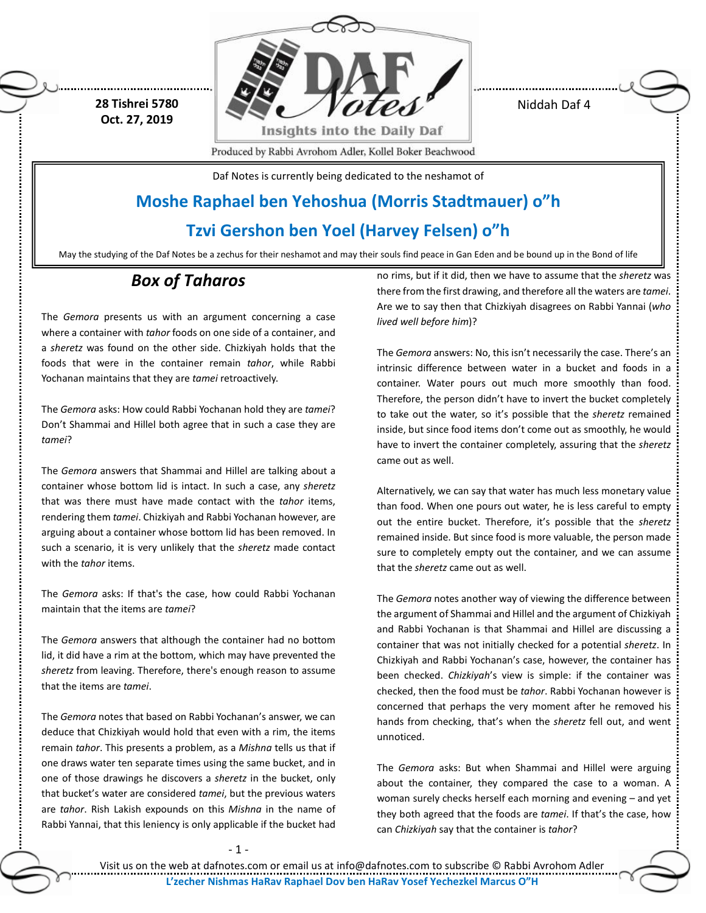**28 Tishrei 5780 Oct. 27, 2019**



Niddah Daf 4

Produced by Rabbi Avrohom Adler, Kollel Boker Beachwood

Daf Notes is currently being dedicated to the neshamot of

## **Moshe Raphael ben Yehoshua (Morris Stadtmauer) o"h**

### **Tzvi Gershon ben Yoel (Harvey Felsen) o"h**

May the studying of the Daf Notes be a zechus for their neshamot and may their souls find peace in Gan Eden and be bound up in the Bond of life

## *Box of Taharos*

The *Gemora* presents us with an argument concerning a case where a container with *tahor* foods on one side of a container, and a *sheretz* was found on the other side. Chizkiyah holds that the foods that were in the container remain *tahor*, while Rabbi Yochanan maintains that they are *tamei* retroactively.

The *Gemora* asks: How could Rabbi Yochanan hold they are *tamei*? Don't Shammai and Hillel both agree that in such a case they are *tamei*?

The *Gemora* answers that Shammai and Hillel are talking about a container whose bottom lid is intact. In such a case, any *sheretz* that was there must have made contact with the *tahor* items, rendering them *tamei*. Chizkiyah and Rabbi Yochanan however, are arguing about a container whose bottom lid has been removed. In such a scenario, it is very unlikely that the *sheretz* made contact with the *tahor* items.

The *Gemora* asks: If that's the case, how could Rabbi Yochanan maintain that the items are *tamei*?

The *Gemora* answers that although the container had no bottom lid, it did have a rim at the bottom, which may have prevented the *sheretz* from leaving. Therefore, there's enough reason to assume that the items are *tamei*.

The *Gemora* notes that based on Rabbi Yochanan's answer, we can deduce that Chizkiyah would hold that even with a rim, the items remain *tahor*. This presents a problem, as a *Mishna* tells us that if one draws water ten separate times using the same bucket, and in one of those drawings he discovers a *sheretz* in the bucket, only that bucket's water are considered *tamei*, but the previous waters are *tahor*. Rish Lakish expounds on this *Mishna* in the name of Rabbi Yannai, that this leniency is only applicable if the bucket had

no rims, but if it did, then we have to assume that the *sheretz* was there from the first drawing, and therefore all the waters are *tamei*. Are we to say then that Chizkiyah disagrees on Rabbi Yannai (*who lived well before him*)?

The *Gemora* answers: No, this isn't necessarily the case. There's an intrinsic difference between water in a bucket and foods in a container. Water pours out much more smoothly than food. Therefore, the person didn't have to invert the bucket completely to take out the water, so it's possible that the *sheretz* remained inside, but since food items don't come out as smoothly, he would have to invert the container completely, assuring that the *sheretz* came out as well.

Alternatively, we can say that water has much less monetary value than food. When one pours out water, he is less careful to empty out the entire bucket. Therefore, it's possible that the *sheretz* remained inside. But since food is more valuable, the person made sure to completely empty out the container, and we can assume that the *sheretz* came out as well.

The *Gemora* notes another way of viewing the difference between the argument of Shammai and Hillel and the argument of Chizkiyah and Rabbi Yochanan is that Shammai and Hillel are discussing a container that was not initially checked for a potential *sheretz*. In Chizkiyah and Rabbi Yochanan's case, however, the container has been checked. *Chizkiyah*'s view is simple: if the container was checked, then the food must be *tahor*. Rabbi Yochanan however is concerned that perhaps the very moment after he removed his hands from checking, that's when the *sheretz* fell out, and went unnoticed.

The *Gemora* asks: But when Shammai and Hillel were arguing about the container, they compared the case to a woman. A woman surely checks herself each morning and evening – and yet they both agreed that the foods are *tamei*. If that's the case, how can *Chizkiyah* say that the container is *tahor*?

- 1 -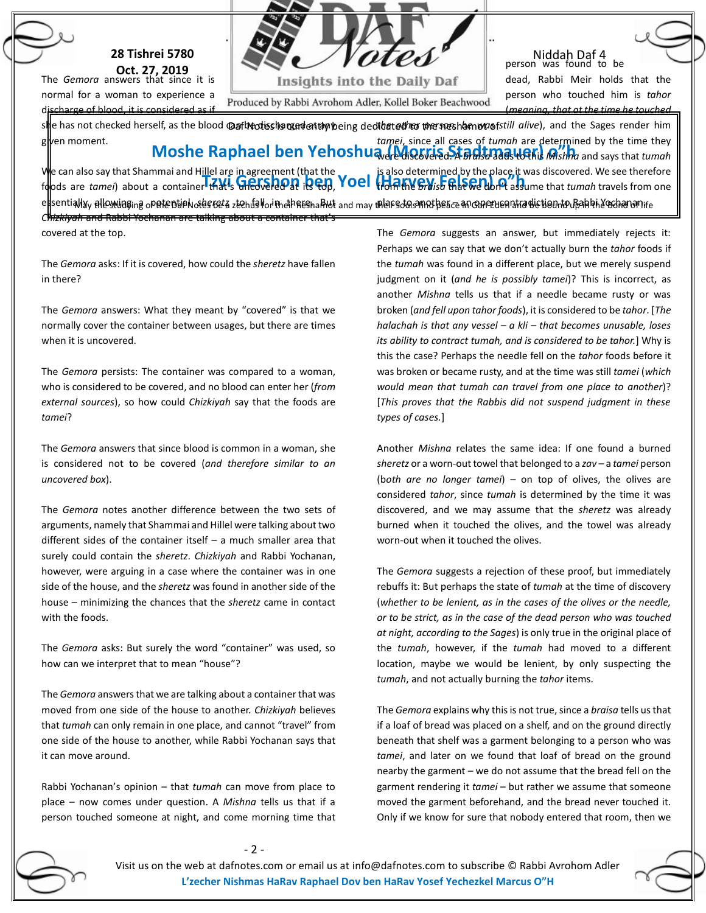

**Oct. 27, 2019** The *Gemora* answers that since it is normal for a woman to experience a  $charea of blood, it is considered as$ 

Insights into the Daily Daf

Produced by Rabbi Avrohom Adler, Kollel Boker Beachwood

Niddah Daf 4 person was found to be dead, Rabbi Meir holds that the person who touched him is *tahor* (*meaning, that at the time he touched*

s**li**e has not checked herself, as the blood **@aflෑcdisshsmandership**ybeing ded**ibat***eth***ro the sneshamovos**fstill *alive*), and the Sages render him **Moshe Raphael ben Yehoshua (MQSKE Stadtmanuer)** and says that *tumah* We can also say that Shammai and Hillel are in agreement (that the<br>foods are *tamei*) about a container that sufficiently are in **PCD, YOEI** (Harvey, Felsen) of assi e<mark>t</mark>sentiallyy allowünging opatentialwadereta ztendallori methaesnaklut and may mlarsdasanathesce an caneruenatra distiennto Bahkh29shananire given moment. foods are *tamei*) about a container that's uncovered at its top, *Chizkiyah* and Rabbi Yochanan are talking about a container that's *tamei*, since all cases of *tumah* are determined by the time they is also determined by the place it was discovered. We see therefore from the *braisa* that we don't assume that *tumah* travels from one

covered at the top.

The *Gemora* asks: If it is covered, how could the *sheretz* have fallen in there?

The *Gemora* answers: What they meant by "covered" is that we normally cover the container between usages, but there are times when it is uncovered.

The *Gemora* persists: The container was compared to a woman, who is considered to be covered, and no blood can enter her (*from external sources*), so how could *Chizkiyah* say that the foods are *tamei*?

The *Gemora* answers that since blood is common in a woman, she is considered not to be covered (*and therefore similar to an uncovered box*).

The *Gemora* notes another difference between the two sets of arguments, namely that Shammai and Hillel were talking about two different sides of the container itself – a much smaller area that surely could contain the *sheretz*. *Chizkiyah* and Rabbi Yochanan, however, were arguing in a case where the container was in one side of the house, and the *sheretz* was found in another side of the house – minimizing the chances that the *sheretz* came in contact with the foods.

The *Gemora* asks: But surely the word "container" was used, so how can we interpret that to mean "house"?

The *Gemora* answersthat we are talking about a container that was moved from one side of the house to another. *Chizkiyah* believes that *tumah* can only remain in one place, and cannot "travel" from one side of the house to another, while Rabbi Yochanan says that it can move around.

Rabbi Yochanan's opinion – that *tumah* can move from place to place – now comes under question. A *Mishna* tells us that if a person touched someone at night, and come morning time that The *Gemora* suggests an answer, but immediately rejects it: Perhaps we can say that we don't actually burn the *tahor* foods if the *tumah* was found in a different place, but we merely suspend judgment on it (*and he is possibly tamei*)? This is incorrect, as another *Mishna* tells us that if a needle became rusty or was broken (*and fell upon tahor foods*), it is considered to be *tahor*. [*The halachah is that any vessel – a kli – that becomes unusable, loses its ability to contract tumah, and is considered to be tahor.*] Why is this the case? Perhaps the needle fell on the *tahor* foods before it was broken or became rusty, and at the time was still *tamei* (*which would mean that tumah can travel from one place to another*)? [*This proves that the Rabbis did not suspend judgment in these types of cases.*]

Another *Mishna* relates the same idea: If one found a burned *sheretz* or a worn-out towel that belonged to a *zav* – a *tamei* person (b*oth are no longer tamei*) – on top of olives, the olives are considered *tahor*, since *tumah* is determined by the time it was discovered, and we may assume that the *sheretz* was already burned when it touched the olives, and the towel was already worn-out when it touched the olives.

The *Gemora* suggests a rejection of these proof, but immediately rebuffs it: But perhaps the state of *tumah* at the time of discovery (*whether to be lenient, as in the cases of the olives or the needle, or to be strict, as in the case of the dead person who was touched at night, according to the Sages*) is only true in the original place of the *tumah*, however, if the *tumah* had moved to a different location, maybe we would be lenient, by only suspecting the *tumah*, and not actually burning the *tahor* items.

The *Gemora* explains why this is not true, since a *braisa* tells us that if a loaf of bread was placed on a shelf, and on the ground directly beneath that shelf was a garment belonging to a person who was *tamei*, and later on we found that loaf of bread on the ground nearby the garment – we do not assume that the bread fell on the garment rendering it *tamei* – but rather we assume that someone moved the garment beforehand, and the bread never touched it. Only if we know for sure that nobody entered that room, then we

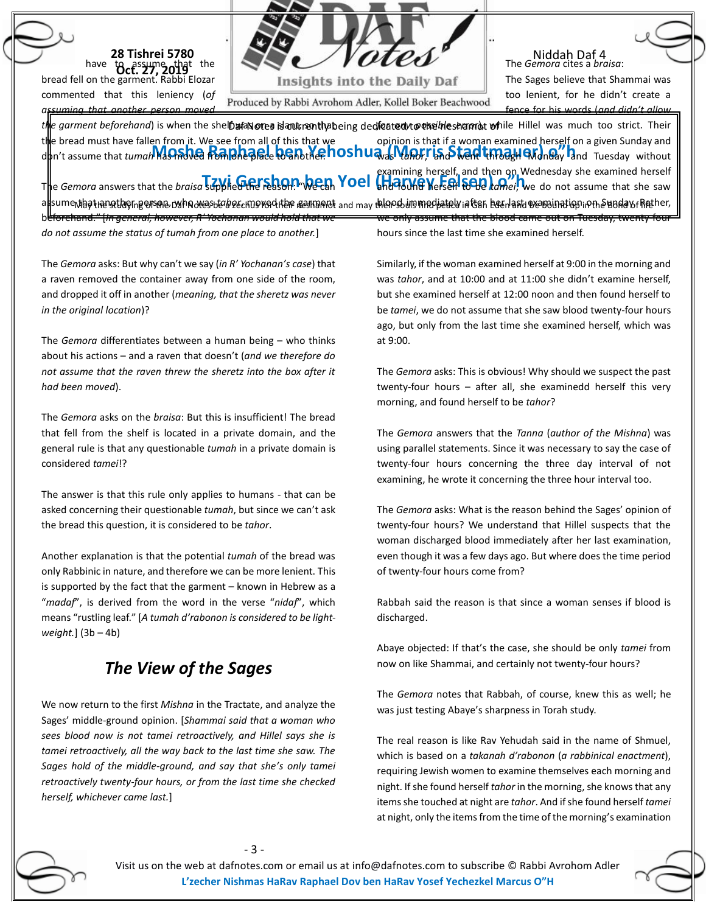|  | <b>28 Tishrei 5780</b>                                      |  |  |
|--|-------------------------------------------------------------|--|--|
|  | have to assume that the<br>ell on the garment. Rabbi Elozar |  |  |
|  |                                                             |  |  |

bread fe commented that this leniency (*of assuming that another person moved*

Insights into the Daily Daf

Produced by Rabbi Avrohom Adler, Kollel Boker Beachwood

Niddah Daf 4 The *Gemora* cites a *braisa*:

The Sages believe that Shammai was too lenient, for he didn't create a fence for his words (*and didn't allow* 

t**h**e garment beforehand) is when the she**lbafanotes islant, senthab**eing ded**icatedytøekeiheshamt**at **wh**ile Hillel was much too strict. Their **Moshed Most Rapid Concernsive Concernsive Concernsive Post and Tuesday and Tuesday and Tuesday without** The *Gemora* answers that the *braisa* supplied the reason: We can Yoel (Haarvey Versen 6010 *komei*) \ a<mark>t</mark>sumentagtiærettagrigersøra oxhnoresbæbecernorediter ærmandt and may thlapsburnmadjætelvintsar bærland væroninatignipmen Sundavfhæher, the bread must have fallen from it. We see from all of this that we beforehand." [*In general, however, R' Yochanan would hold that we do not assume the status of tumah from one place to another.*] opinion is that if a woman examined herself on a given Sunday and examining herself, and then on Wednesday she examined herself and found herself to be *tamei*, we do not assume that she saw we only assume that the blood came out on Tuesday, twenty-four hours since the last time she examined herself.

The *Gemora* asks: But why can't we say (*in R' Yochanan's case*) that a raven removed the container away from one side of the room, and dropped it off in another (*meaning, that the sheretz was never in the original location*)?

The *Gemora* differentiates between a human being – who thinks about his actions – and a raven that doesn't (*and we therefore do not assume that the raven threw the sheretz into the box after it had been moved*).

The *Gemora* asks on the *braisa*: But this is insufficient! The bread that fell from the shelf is located in a private domain, and the general rule is that any questionable *tumah* in a private domain is considered *tamei*!?

The answer is that this rule only applies to humans - that can be asked concerning their questionable *tumah*, but since we can't ask the bread this question, it is considered to be *tahor*.

Another explanation is that the potential *tumah* of the bread was only Rabbinic in nature, and therefore we can be more lenient. This is supported by the fact that the garment – known in Hebrew as a "*madaf*", is derived from the word in the verse "*nidaf*", which means "rustling leaf." [*A tumah d'rabonon is considered to be lightweight.*] (3b – 4b)

## *The View of the Sages*

We now return to the first *Mishna* in the Tractate, and analyze the Sages' middle-ground opinion. [*Shammai said that a woman who sees blood now is not tamei retroactively, and Hillel says she is tamei retroactively, all the way back to the last time she saw. The Sages hold of the middle-ground, and say that she's only tamei retroactively twenty-four hours, or from the last time she checked herself, whichever came last.*]

- 3 -

Similarly, if the woman examined herself at 9:00 in the morning and was *tahor*, and at 10:00 and at 11:00 she didn't examine herself, but she examined herself at 12:00 noon and then found herself to be *tamei*, we do not assume that she saw blood twenty-four hours ago, but only from the last time she examined herself, which was at 9:00.

The *Gemora* asks: This is obvious! Why should we suspect the past twenty-four hours – after all, she examinedd herself this very morning, and found herself to be *tahor*?

The *Gemora* answers that the *Tanna* (*author of the Mishna*) was using parallel statements. Since it was necessary to say the case of twenty-four hours concerning the three day interval of not examining, he wrote it concerning the three hour interval too.

The *Gemora* asks: What is the reason behind the Sages' opinion of twenty-four hours? We understand that Hillel suspects that the woman discharged blood immediately after her last examination, even though it was a few days ago. But where does the time period of twenty-four hours come from?

Rabbah said the reason is that since a woman senses if blood is discharged.

Abaye objected: If that's the case, she should be only *tamei* from now on like Shammai, and certainly not twenty-four hours?

The *Gemora* notes that Rabbah, of course, knew this as well; he was just testing Abaye's sharpness in Torah study.

The real reason is like Rav Yehudah said in the name of Shmuel, which is based on a *takanah d'rabonon* (*a rabbinical enactment*), requiring Jewish women to examine themselves each morning and night. If she found herself *tahor* in the morning, she knows that any items she touched at night are *tahor*. And if she found herself *tamei* at night, only the items from the time of the morning's examination